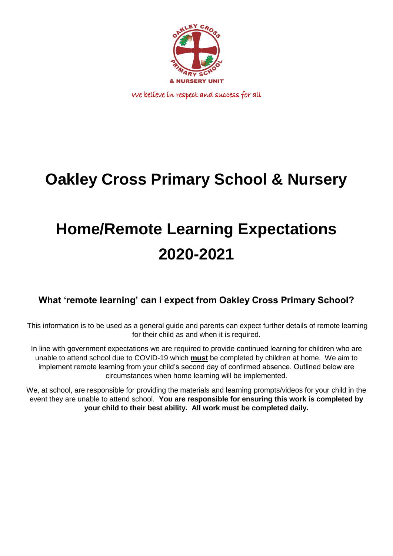

We believe in respect and success for all

## **Oakley Cross Primary School & Nursery**

# **Home/Remote Learning Expectations 2020-2021**

## **What 'remote learning' can I expect from Oakley Cross Primary School?**

This information is to be used as a general guide and parents can expect further details of remote learning for their child as and when it is required.

In line with government expectations we are required to provide continued learning for children who are unable to attend school due to COVID-19 which **must** be completed by children at home. We aim to implement remote learning from your child's second day of confirmed absence. Outlined below are circumstances when home learning will be implemented.

We, at school, are responsible for providing the materials and learning prompts/videos for your child in the event they are unable to attend school. **You are responsible for ensuring this work is completed by your child to their best ability. All work must be completed daily.**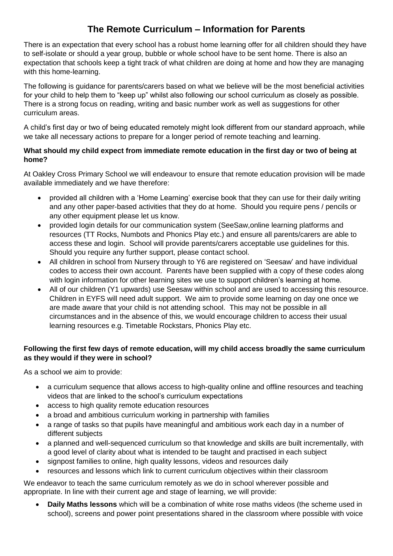## **The Remote Curriculum – Information for Parents**

There is an expectation that every school has a robust home learning offer for all children should they have to self-isolate or should a year group, bubble or whole school have to be sent home. There is also an expectation that schools keep a tight track of what children are doing at home and how they are managing with this home-learning.

The following is guidance for parents/carers based on what we believe will be the most beneficial activities for your child to help them to "keep up" whilst also following our school curriculum as closely as possible. There is a strong focus on reading, writing and basic number work as well as suggestions for other curriculum areas.

A child's first day or two of being educated remotely might look different from our standard approach, while we take all necessary actions to prepare for a longer period of remote teaching and learning.

## **What should my child expect from immediate remote education in the first day or two of being at home?**

At Oakley Cross Primary School we will endeavour to ensure that remote education provision will be made available immediately and we have therefore:

- provided all children with a 'Home Learning' exercise book that they can use for their daily writing and any other paper-based activities that they do at home. Should you require pens / pencils or any other equipment please let us know.
- provided login details for our communication system (SeeSaw,online learning platforms and resources (TT Rocks, Numbots and Phonics Play etc.) and ensure all parents/carers are able to access these and login. School will provide parents/carers acceptable use guidelines for this. Should you require any further support, please contact school.
- All children in school from Nursery through to Y6 are registered on 'Seesaw' and have individual codes to access their own account. Parents have been supplied with a copy of these codes along with login information for other learning sites we use to support children's learning at home.
- All of our children (Y1 upwards) use Seesaw within school and are used to accessing this resource. Children in EYFS will need adult support. We aim to provide some learning on day one once we are made aware that your child is not attending school. This may not be possible in all circumstances and in the absence of this, we would encourage children to access their usual learning resources e.g. Timetable Rockstars, Phonics Play etc.

## **Following the first few days of remote education, will my child access broadly the same curriculum as they would if they were in school?**

As a school we aim to provide:

- a curriculum sequence that allows access to high-quality online and offline resources and teaching videos that are linked to the school's curriculum expectations
- access to high quality remote education resources
- a broad and ambitious curriculum working in partnership with families
- a range of tasks so that pupils have meaningful and ambitious work each day in a number of different subjects
- a planned and well-sequenced curriculum so that knowledge and skills are built incrementally, with a good level of clarity about what is intended to be taught and practised in each subject
- signpost families to online, high quality lessons, videos and resources daily
- resources and lessons which link to current curriculum objectives within their classroom

We endeavor to teach the same curriculum remotely as we do in school wherever possible and appropriate. In line with their current age and stage of learning, we will provide:

 **Daily Maths lessons** which will be a combination of white rose maths videos (the scheme used in school), screens and power point presentations shared in the classroom where possible with voice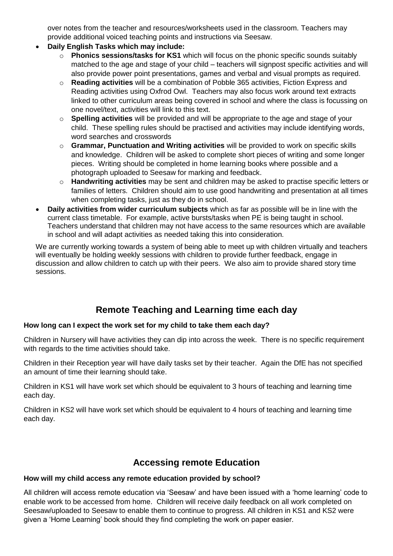over notes from the teacher and resources/worksheets used in the classroom. Teachers may provide additional voiced teaching points and instructions via Seesaw.

- **Daily English Tasks which may include:**
	- o **Phonics sessions/tasks for KS1** which will focus on the phonic specific sounds suitably matched to the age and stage of your child – teachers will signpost specific activities and will also provide power point presentations, games and verbal and visual prompts as required.
	- o **Reading activities** will be a combination of Pobble 365 activities, Fiction Express and Reading activities using Oxfrod Owl. Teachers may also focus work around text extracts linked to other curriculum areas being covered in school and where the class is focussing on one novel/text, activities will link to this text.
	- o **Spelling activities** will be provided and will be appropriate to the age and stage of your child. These spelling rules should be practised and activities may include identifying words, word searches and crosswords
	- o **Grammar, Punctuation and Writing activities** will be provided to work on specific skills and knowledge. Children will be asked to complete short pieces of writing and some longer pieces. Writing should be completed in home learning books where possible and a photograph uploaded to Seesaw for marking and feedback.
	- o **Handwriting activities** may be sent and children may be asked to practise specific letters or families of letters. Children should aim to use good handwriting and presentation at all times when completing tasks, just as they do in school.
- **Daily activities from wider curriculum subjects** which as far as possible will be in line with the current class timetable. For example, active bursts/tasks when PE is being taught in school. Teachers understand that children may not have access to the same resources which are available in school and will adapt activities as needed taking this into consideration.

We are currently working towards a system of being able to meet up with children virtually and teachers will eventually be holding weekly sessions with children to provide further feedback, engage in discussion and allow children to catch up with their peers. We also aim to provide shared story time sessions.

## **Remote Teaching and Learning time each day**

## **How long can I expect the work set for my child to take them each day?**

Children in Nursery will have activities they can dip into across the week. There is no specific requirement with regards to the time activities should take.

Children in their Reception year will have daily tasks set by their teacher. Again the DfE has not specified an amount of time their learning should take.

Children in KS1 will have work set which should be equivalent to 3 hours of teaching and learning time each day.

Children in KS2 will have work set which should be equivalent to 4 hours of teaching and learning time each day.

## **Accessing remote Education**

## **How will my child access any remote education provided by school?**

All children will access remote education via 'Seesaw' and have been issued with a 'home learning' code to enable work to be accessed from home. Children will receive daily feedback on all work completed on Seesaw/uploaded to Seesaw to enable them to continue to progress. All children in KS1 and KS2 were given a 'Home Learning' book should they find completing the work on paper easier.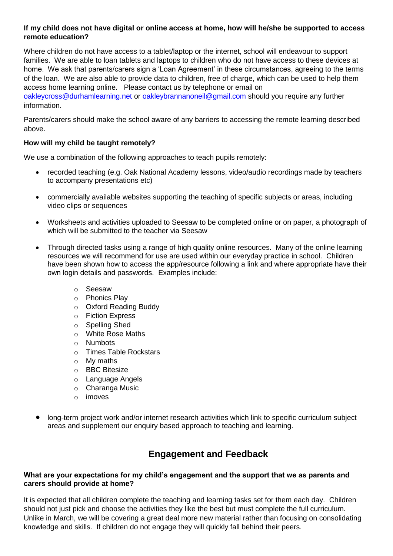## **If my child does not have digital or online access at home, how will he/she be supported to access remote education?**

Where children do not have access to a tablet/laptop or the internet, school will endeavour to support families. We are able to loan tablets and laptops to children who do not have access to these devices at home. We ask that parents/carers sign a 'Loan Agreement' in these circumstances, agreeing to the terms of the loan. We are also able to provide data to children, free of charge, which can be used to help them access home learning online. Please contact us by telephone or email on

[oakleycross@durhamlearning.net](mailto:oakleycross@durhamlearning.net) or [oakleybrannanoneil@gmail.com](mailto:oakleybrannanoneil@gmail.com) should you require any further information.

Parents/carers should make the school aware of any barriers to accessing the remote learning described above.

#### **How will my child be taught remotely?**

We use a combination of the following approaches to teach pupils remotely:

- recorded teaching (e.g. Oak National Academy lessons, video/audio recordings made by teachers to accompany presentations etc)
- commercially available websites supporting the teaching of specific subjects or areas, including video clips or sequences
- Worksheets and activities uploaded to Seesaw to be completed online or on paper, a photograph of which will be submitted to the teacher via Seesaw
- Through directed tasks using a range of high quality online resources. Many of the online learning resources we will recommend for use are used within our everyday practice in school. Children have been shown how to access the app/resource following a link and where appropriate have their own login details and passwords. Examples include:
	- o Seesaw
	- o Phonics Play
	- o Oxford Reading Buddy
	- o Fiction Express
	- o Spelling Shed
	- o White Rose Maths
	- o Numbots
	- o Times Table Rockstars
	- o My maths
	- o BBC Bitesize
	- o Language Angels
	- o Charanga Music
	- o imoves
- long-term project work and/or internet research activities which link to specific curriculum subject areas and supplement our enquiry based approach to teaching and learning.

## **Engagement and Feedback**

#### **What are your expectations for my child's engagement and the support that we as parents and carers should provide at home?**

It is expected that all children complete the teaching and learning tasks set for them each day. Children should not just pick and choose the activities they like the best but must complete the full curriculum. Unlike in March, we will be covering a great deal more new material rather than focusing on consolidating knowledge and skills. If children do not engage they will quickly fall behind their peers.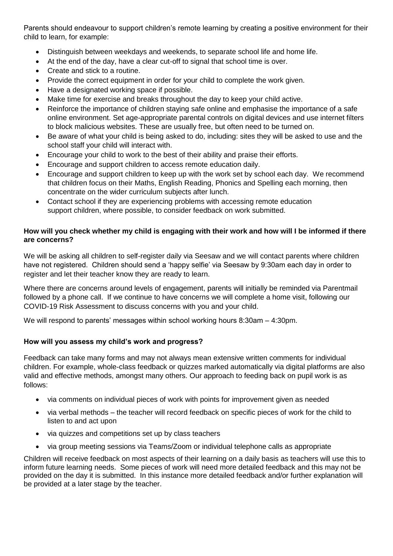Parents should endeavour to support children's remote learning by creating a positive environment for their child to learn, for example:

- Distinguish between weekdays and weekends, to separate school life and home life.
- At the end of the day, have a clear cut-off to signal that school time is over.
- Create and stick to a routine.
- Provide the correct equipment in order for your child to complete the work given.
- Have a designated working space if possible.
- Make time for exercise and breaks throughout the day to keep your child active.
- Reinforce the importance of children staying safe online and emphasise the importance of a safe online environment. Set age-appropriate parental controls on digital devices and use internet filters to block malicious websites. These are usually free, but often need to be turned on.
- Be aware of what your child is being asked to do, including: sites they will be asked to use and the school staff your child will interact with.
- Encourage your child to work to the best of their ability and praise their efforts.
- Encourage and support children to access remote education daily.
- Encourage and support children to keep up with the work set by school each day. We recommend that children focus on their Maths, English Reading, Phonics and Spelling each morning, then concentrate on the wider curriculum subjects after lunch.
- Contact school if they are experiencing problems with accessing remote education support children, where possible, to consider feedback on work submitted.

#### **How will you check whether my child is engaging with their work and how will I be informed if there are concerns?**

We will be asking all children to self-register daily via Seesaw and we will contact parents where children have not registered. Children should send a 'happy selfie' via Seesaw by 9:30am each day in order to register and let their teacher know they are ready to learn.

Where there are concerns around levels of engagement, parents will initially be reminded via Parentmail followed by a phone call. If we continue to have concerns we will complete a home visit, following our COVID-19 Risk Assessment to discuss concerns with you and your child.

We will respond to parents' messages within school working hours 8:30am – 4:30pm.

## **How will you assess my child's work and progress?**

Feedback can take many forms and may not always mean extensive written comments for individual children. For example, whole-class feedback or quizzes marked automatically via digital platforms are also valid and effective methods, amongst many others. Our approach to feeding back on pupil work is as follows:

- via comments on individual pieces of work with points for improvement given as needed
- via verbal methods the teacher will record feedback on specific pieces of work for the child to listen to and act upon
- via quizzes and competitions set up by class teachers
- via group meeting sessions via Teams/Zoom or individual telephone calls as appropriate

Children will receive feedback on most aspects of their learning on a daily basis as teachers will use this to inform future learning needs. Some pieces of work will need more detailed feedback and this may not be provided on the day it is submitted. In this instance more detailed feedback and/or further explanation will be provided at a later stage by the teacher.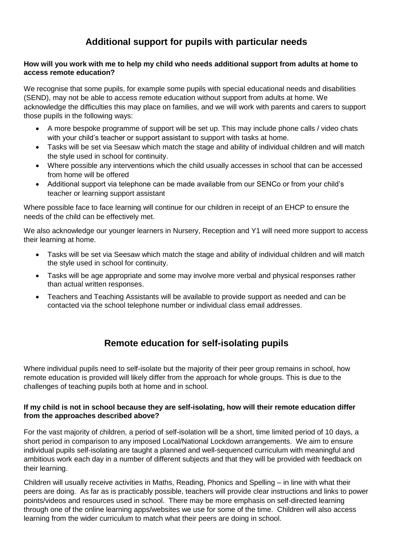## **Additional support for pupils with particular needs**

#### **How will you work with me to help my child who needs additional support from adults at home to access remote education?**

We recognise that some pupils, for example some pupils with special educational needs and disabilities (SEND), may not be able to access remote education without support from adults at home. We acknowledge the difficulties this may place on families, and we will work with parents and carers to support those pupils in the following ways:

- A more bespoke programme of support will be set up. This may include phone calls / video chats with your child's teacher or support assistant to support with tasks at home.
- Tasks will be set via Seesaw which match the stage and ability of individual children and will match the style used in school for continuity.
- Where possible any interventions which the child usually accesses in school that can be accessed from home will be offered
- Additional support via telephone can be made available from our SENCo or from your child's teacher or learning support assistant

Where possible face to face learning will continue for our children in receipt of an EHCP to ensure the needs of the child can be effectively met.

We also acknowledge our younger learners in Nursery, Reception and Y1 will need more support to access their learning at home.

- Tasks will be set via Seesaw which match the stage and ability of individual children and will match the style used in school for continuity.
- Tasks will be age appropriate and some may involve more verbal and physical responses rather than actual written responses.
- Teachers and Teaching Assistants will be available to provide support as needed and can be contacted via the school telephone number or individual class email addresses.

## **Remote education for self-isolating pupils**

Where individual pupils need to self-isolate but the majority of their peer group remains in school, how remote education is provided will likely differ from the approach for whole groups. This is due to the challenges of teaching pupils both at home and in school.

#### **If my child is not in school because they are self-isolating, how will their remote education differ from the approaches described above?**

For the vast majority of children, a period of self-isolation will be a short, time limited period of 10 days, a short period in comparison to any imposed Local/National Lockdown arrangements. We aim to ensure individual pupils self-isolating are taught a planned and well-sequenced curriculum with meaningful and ambitious work each day in a number of different subjects and that they will be provided with feedback on their learning.

Children will usually receive activities in Maths, Reading, Phonics and Spelling – in line with what their peers are doing. As far as is practicably possible, teachers will provide clear instructions and links to power points/videos and resources used in school. There may be more emphasis on self-directed learning through one of the online learning apps/websites we use for some of the time. Children will also access learning from the wider curriculum to match what their peers are doing in school.